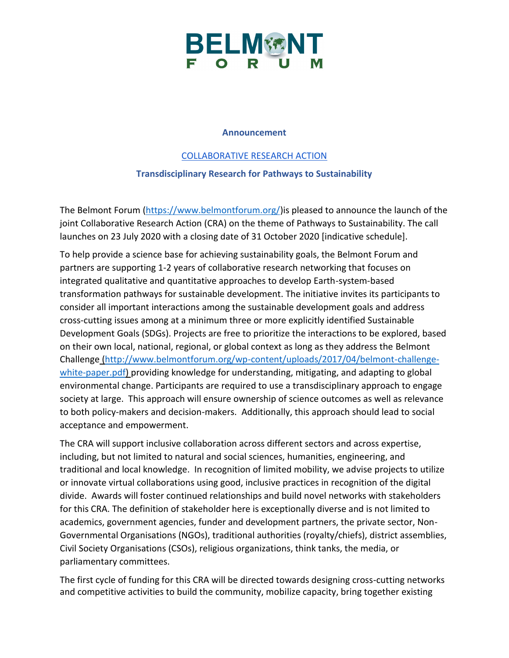

## **Announcement**

## [COLLABORATIVE RESEARCH ACTION](https://www.belmontforum.org/cras/)

## **Transdisciplinary Research for Pathways to Sustainability**

The Belmont Forum [\(https://www.belmontforum.org/\)](https://www.belmontforum.org/)is pleased to announce the launch of the joint Collaborative Research Action (CRA) on the theme of Pathways to Sustainability. The call launches on 23 July 2020 with a closing date of 31 October 2020 [indicative schedule].

To help provide a science base for achieving sustainability goals, the Belmont Forum and partners are supporting 1-2 years of collaborative research networking that focuses on integrated qualitative and quantitative approaches to develop Earth-system-based transformation pathways for sustainable development. The initiative invites its participants to consider all important interactions among the sustainable development goals and address cross-cutting issues among at a minimum three or more explicitly identified Sustainable Development Goals (SDGs). Projects are free to prioritize the interactions to be explored, based on their own local, national, regional, or global context as long as they address the Belmont Challenge [\(http://www.belmontforum.org/wp-content/uploads/2017/04/belmont-challenge](http://www.belmontforum.org/wp-content/uploads/2017/04/belmont-challenge-white-paper.pdf)[white-paper.pdf\)](http://www.belmontforum.org/wp-content/uploads/2017/04/belmont-challenge-white-paper.pdf) providing knowledge for understanding, mitigating, and adapting to global environmental change. Participants are required to use a transdisciplinary approach to engage society at large. This approach will ensure ownership of science outcomes as well as relevance to both policy-makers and decision-makers. Additionally, this approach should lead to social acceptance and empowerment.

The CRA will support inclusive collaboration across different sectors and across expertise, including, but not limited to natural and social sciences, humanities, engineering, and traditional and local knowledge. In recognition of limited mobility, we advise projects to utilize or innovate virtual collaborations using good, inclusive practices in recognition of the digital divide. Awards will foster continued relationships and build novel networks with stakeholders for this CRA. The definition of stakeholder here is exceptionally diverse and is not limited to academics, government agencies, funder and development partners, the private sector, Non-Governmental Organisations (NGOs), traditional authorities (royalty/chiefs), district assemblies, Civil Society Organisations (CSOs), religious organizations, think tanks, the media, or parliamentary committees.

The first cycle of funding for this CRA will be directed towards designing cross-cutting networks and competitive activities to build the community, mobilize capacity, bring together existing